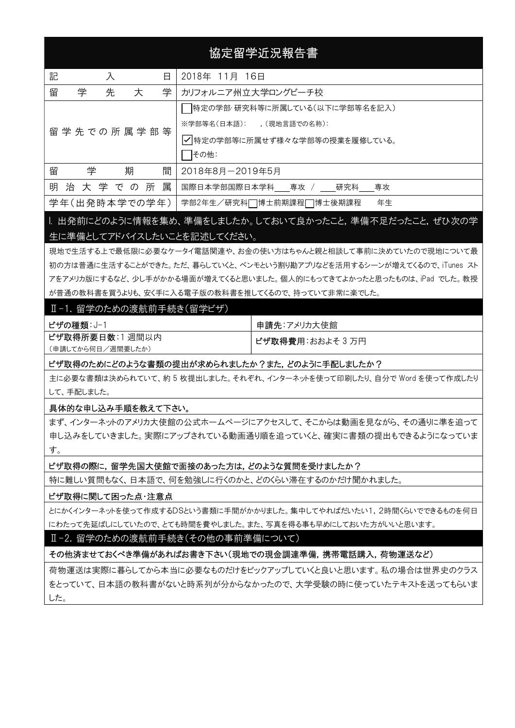# 協定留学近況報告書

| 記<br>入<br>日 |                    |  |               |   | 2018年 11月 16日                   |
|-------------|--------------------|--|---------------|---|---------------------------------|
| 留           | 先<br>学<br>学<br>大   |  |               |   | カリフォルニア州立大学ロングビーチ校              |
|             |                    |  |               |   | 特定の学部・研究科等に所属している(以下に学部等名を記入)   |
|             | 留 学 先 での 所 属 学 部 等 |  |               |   | ※学部等名(日本語): (現地言語での名称):         |
|             |                    |  |               |   | │✔│特定の学部等に所属せず様々な学部等の授業を履修している。 |
|             |                    |  |               |   | その他:                            |
| 留           | 学                  |  | 期             | 間 | 2018年8月-2019年5月                 |
|             |                    |  | 明治大学での所       | 属 | 国際日本学部国際日本学科 専攻 / 研究科 専攻        |
|             |                    |  | 学年(出発時本学での学年) |   | 年生<br>学部2年生/研究科□博士前期課程□博士後期課程   |

## I. 出発前にどのように情報を集め、準備をしましたか。しておいて良かったこと,準備不足だったこと,ぜひ次の学 生に準備としてアドバイスしたいことを記述してください。

現地で生活する上で最低限に必要なケータイ電話関連や、お金の使い方はちゃんと親と相談して事前に決めていたので現地について最 初の方は普通に生活することができた。ただ、暮らしていくと、ベンモという割り勘アプリなどを活用するシーンが増えてくるので、iTunes スト アをアメリカ版にするなど、少し手がかかる場面が増えてくると思いました。個人的にもってきてよかったと思ったものは、iPad でした。教授 が普通の教科書を買うよりも、安く手に入る電子版の教科書を推してくるので、持っていて非常に楽でした。

#### Ⅱ-1.留学のための渡航前手続き(留学ビザ)

| ビザの種類: J-1        | 申請先:アメリカ大使館              |
|-------------------|--------------------------|
| ビザ取得所要日数:1週間以内    | <b>ビザ取得費用</b> :おおよそ 3 万円 |
| (申請してから何日/週間要したか) |                          |

### ビザ取得のためにどのような書類の提出が求められましたか?また,どのように手配しましたか?

主に必要な書類は決められていて、約 5 枚提出しました。それぞれ、インターネットを使って印刷したり、自分で Word を使って作成したり して、手配しました。

#### 具体的な申し込み手順を教えて下さい。

まず、インターネットのアメリカ大使館の公式ホームページにアクセスして、そこからは動画を見ながら、その通りに準を追って 申し込みをしていきました。実際にアップされている動画通り順を追っていくと、確実に書類の提出もできるようになっていま す。

#### ビザ取得の際に,留学先国大使館で面接のあった方は,どのような質問を受けましたか?

特に難しい質問もなく、日本語で、何を勉強しに行くのかと、どのくらい滞在するのかだけ聞かれました。

#### ビザ取得に関して困った点・注意点

とにかくインターネットを使って作成するDSという書類に手間がかかりました。集中してやればだいたい1,2時間くらいでできるものを何日 にわたって先延ばしにしていたので、とても時間を費やしました。また、写真を得る事も早めにしておいた方がいいと思います。

#### Ⅱ-2. 留学のための渡航前手続き(その他の事前準備について)

その他済ませておくべき準備があればお書き下さい(現地での現金調達準備,携帯電話購入,荷物運送など)

荷物運送は実際に暮らしてから本当に必要なものだけをピックアップしていくと良いと思います。私の場合は世界史のクラス をとっていて、日本語の教科書がないと時系列が分からなかったので、大学受験の時に使っていたテキストを送ってもらいま した。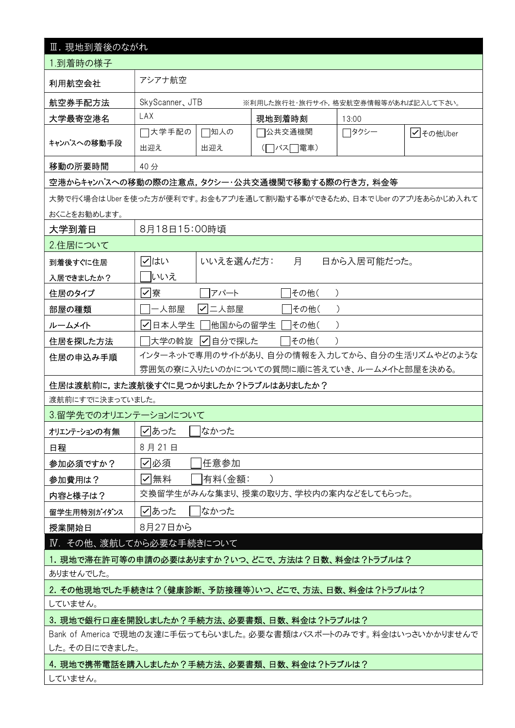| Ⅲ. 現地到着後のながれ                                                       |                                                        |           |                                            |             |           |  |  |  |  |  |
|--------------------------------------------------------------------|--------------------------------------------------------|-----------|--------------------------------------------|-------------|-----------|--|--|--|--|--|
| 1.到着時の様子                                                           |                                                        |           |                                            |             |           |  |  |  |  |  |
| 利用航空会社                                                             | アシアナ航空                                                 |           |                                            |             |           |  |  |  |  |  |
| 航空券手配方法                                                            | SkyScanner, JTB<br>※利用した旅行社・旅行サイト,格安航空券情報等があれば記入して下さい。 |           |                                            |             |           |  |  |  |  |  |
| 大学最寄空港名                                                            | LAX<br>現地到着時刻<br>13:00                                 |           |                                            |             |           |  |  |  |  |  |
|                                                                    | コ大学手配の                                                 | □知人の      | 7公共交通機関                                    | ◯タクシー       | √ その他Uber |  |  |  |  |  |
| キャンパスへの移動手段                                                        | 出迎え                                                    | 出迎え       | ヿバス□電車)                                    |             |           |  |  |  |  |  |
| 移動の所要時間<br>40分                                                     |                                                        |           |                                            |             |           |  |  |  |  |  |
|                                                                    | 空港からキャンパスへの移動の際の注意点,タクシー・公共交通機関で移動する際の行き方,料金等          |           |                                            |             |           |  |  |  |  |  |
| 大勢で行く場合はUberを使った方が便利です。お金もアプリを通して割り勘する事ができるため、日本でUberのアプリをあらかじめ入れて |                                                        |           |                                            |             |           |  |  |  |  |  |
| おくことをお勧めします。                                                       |                                                        |           |                                            |             |           |  |  |  |  |  |
| 大学到着日                                                              | 8月18日15:00時頃                                           |           |                                            |             |           |  |  |  |  |  |
| 2.住居について                                                           |                                                        |           |                                            |             |           |  |  |  |  |  |
| 到着後すぐに住居                                                           | マはい                                                    | いいえを選んだ方: | 月                                          | 日から入居可能だった。 |           |  |  |  |  |  |
| 入居できましたか?                                                          | いいえ                                                    |           |                                            |             |           |  |  |  |  |  |
| 住居のタイプ                                                             | ☑寮                                                     | アパート      | その他(                                       |             |           |  |  |  |  |  |
| 部屋の種類                                                              | -人部屋                                                   | 二人部屋<br>✓ | その他(                                       |             |           |  |  |  |  |  |
| ルームメイト                                                             | │√日本人学生                                                | 他国からの留学生  | その他(                                       |             |           |  |  |  |  |  |
| 住居を探した方法                                                           | 大学の斡旋                                                  | ┃✔┃自分で探した | その他(                                       |             |           |  |  |  |  |  |
| 住居の申込み手順                                                           | インターネットで専用のサイトがあり、自分の情報を入力してから、自分の生活リズムやどのような          |           |                                            |             |           |  |  |  |  |  |
|                                                                    |                                                        |           | 雰囲気の寮に入りたいのかについての質問に順に答えていき、ルームメイトと部屋を決める。 |             |           |  |  |  |  |  |
| 住居は渡航前に,また渡航後すぐに見つかりましたか?トラブルはありましたか?                              |                                                        |           |                                            |             |           |  |  |  |  |  |
| 渡航前にすでに決まっていました。                                                   |                                                        |           |                                            |             |           |  |  |  |  |  |
| 3.留学先でのオリエンテーションについて                                               |                                                        |           |                                            |             |           |  |  |  |  |  |
| オリエンテーションの有無                                                       | √あった                                                   | なかった      |                                            |             |           |  |  |  |  |  |
| 日程                                                                 | 8月21日                                                  |           |                                            |             |           |  |  |  |  |  |
| 参加必須ですか?                                                           | ☑必須                                                    | 任意参加      |                                            |             |           |  |  |  |  |  |
| 参加費用は?                                                             | ☑無料                                                    | 有料(金額:    |                                            |             |           |  |  |  |  |  |
| 内容と様子は?                                                            |                                                        |           | 交換留学生がみんな集まり、授業の取り方、学校内の案内などをしてもらった。       |             |           |  |  |  |  |  |
| 留学生用特別がイダンス                                                        | ☑あった                                                   | はかった      |                                            |             |           |  |  |  |  |  |
| 授業開始日                                                              | 8月27日から                                                |           |                                            |             |           |  |  |  |  |  |
| Ⅳ. その他、渡航してから必要な手続きについて                                            |                                                        |           |                                            |             |           |  |  |  |  |  |
|                                                                    | 1. 現地で滞在許可等の申請の必要はありますか?いつ、どこで、方法は?日数、料金は?トラブルは?       |           |                                            |             |           |  |  |  |  |  |
| ありませんでした。                                                          |                                                        |           |                                            |             |           |  |  |  |  |  |
|                                                                    | 2. その他現地でした手続きは?(健康診断、予防接種等)いつ、どこで、方法、日数、料金は?トラブルは?    |           |                                            |             |           |  |  |  |  |  |
| していません。                                                            |                                                        |           |                                            |             |           |  |  |  |  |  |
| 3. 現地で銀行口座を開設しましたか?手続方法、必要書類、日数、料金は?トラブルは?                         |                                                        |           |                                            |             |           |  |  |  |  |  |
| Bank of America で現地の友達に手伝ってもらいました。必要な書類はパスポートのみです。料金はいっさいかかりませんで   |                                                        |           |                                            |             |           |  |  |  |  |  |
| した。その日にできました。<br>4. 現地で携帯電話を購入しましたか?手続方法、必要書類、日数、料金は?トラブルは?        |                                                        |           |                                            |             |           |  |  |  |  |  |
|                                                                    | していません。                                                |           |                                            |             |           |  |  |  |  |  |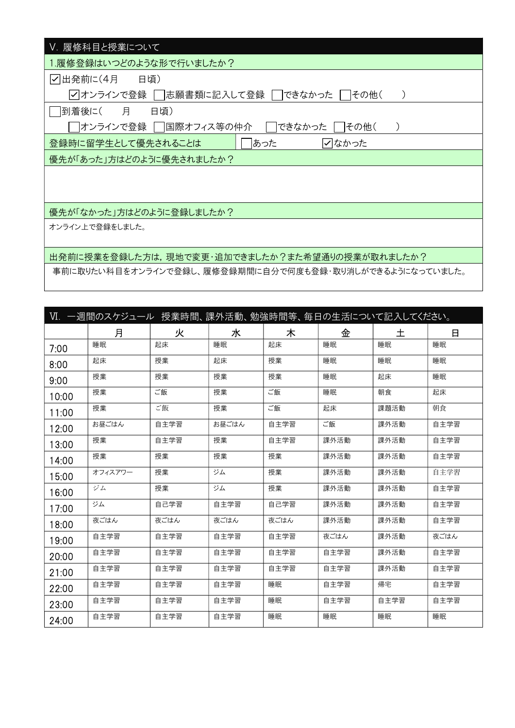| V. 履修科目と授業について                                     |  |  |  |  |  |  |
|----------------------------------------------------|--|--|--|--|--|--|
| 1.履修登録はいつどのような形で行いましたか?                            |  |  |  |  |  |  |
| ▽出発前に(4月 日頃)                                       |  |  |  |  |  |  |
| √ オンラインで登録 │  志願書類に記入して登録 │ │<br>できなかった<br>   その他( |  |  |  |  |  |  |
| 到着後に(<br>月<br>日頃)                                  |  |  |  |  |  |  |
| オンラインで登録    国際オフィス等の仲介<br>できなかった  <br> その他(        |  |  |  |  |  |  |
| あった<br>登録時に留学生として優先されることは<br>√なかった                 |  |  |  |  |  |  |
| 優先が「あった」方はどのように優先されましたか?                           |  |  |  |  |  |  |
|                                                    |  |  |  |  |  |  |
|                                                    |  |  |  |  |  |  |
| 優先が「なかった」方はどのように登録しましたか?                           |  |  |  |  |  |  |
| オンライン上で登録をしました。                                    |  |  |  |  |  |  |
|                                                    |  |  |  |  |  |  |
| 出発前に授業を登録した方は,現地で変更・追加できましたか?また希望通りの授業が取れましたか?     |  |  |  |  |  |  |

事前に取りたい科目をオンラインで登録し、履修登録期間に自分で何度も登録・取り消しができるようになっていました。

|       | Ⅵ. 一週間のスケジュール 授業時間、課外活動、勉強時間等、毎日の生活について記入してください。 |      |       |      |      |      |      |
|-------|--------------------------------------------------|------|-------|------|------|------|------|
|       | 月                                                | 火    | 水     | 木    | 金    | 土    | 日    |
| 7:00  | 睡眠                                               | 起床   | 睡眠    | 起床   | 睡眠   | 睡眠   | 睡眠   |
| 8:00  | 起床                                               | 授業   | 起床    | 授業   | 睡眠   | 睡眠   | 睡眠   |
| 9:00  | 授業                                               | 授業   | 授業    | 授業   | 睡眠   | 起床   | 睡眠   |
| 10:00 | 授業                                               | ご飯   | 授業    | ご飯   | 睡眠   | 朝食   | 起床   |
| 11:00 | 授業                                               | ご飯   | 授業    | ご飯   | 起床   | 課題活動 | 朝食   |
| 12:00 | お昼ごはん                                            | 自主学習 | お昼ごはん | 自主学習 | ご飯   | 課外活動 | 自主学習 |
| 13:00 | 授業                                               | 自主学習 | 授業    | 自主学習 | 課外活動 | 課外活動 | 自主学習 |
| 14:00 | 授業                                               | 授業   | 授業    | 授業   | 課外活動 | 課外活動 | 自主学習 |
| 15:00 | オフィスアワー                                          | 授業   | ジム    | 授業   | 課外活動 | 課外活動 | 自主学習 |
| 16:00 | ジム                                               | 授業   | ジム    | 授業   | 課外活動 | 課外活動 | 自主学習 |
| 17:00 | ジム                                               | 自己学習 | 自主学習  | 自己学習 | 課外活動 | 課外活動 | 自主学習 |
| 18:00 | 夜ごはん                                             | 夜ごはん | 夜ごはん  | 夜ごはん | 課外活動 | 課外活動 | 自主学習 |
| 19:00 | 自主学習                                             | 自主学習 | 自主学習  | 自主学習 | 夜ごはん | 課外活動 | 夜ごはん |
| 20:00 | 自主学習                                             | 自主学習 | 自主学習  | 自主学習 | 自主学習 | 課外活動 | 自主学習 |
| 21:00 | 自主学習                                             | 自主学習 | 自主学習  | 自主学習 | 自主学習 | 課外活動 | 自主学習 |
| 22:00 | 自主学習                                             | 自主学習 | 自主学習  | 睡眠   | 自主学習 | 帰宅   | 自主学習 |
| 23:00 | 自主学習                                             | 自主学習 | 自主学習  | 睡眠   | 自主学習 | 自主学習 | 自主学習 |
| 24:00 | 自主学習                                             | 自主学習 | 自主学習  | 睡眠   | 睡眠   | 睡眠   | 睡眠   |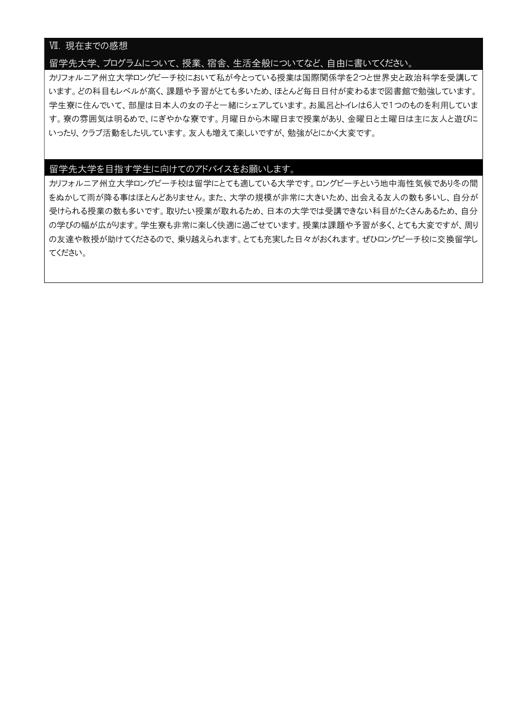## Ⅶ. 現在までの感想

### 留学先大学、プログラムについて、授業、宿舎、生活全般についてなど、自由に書いてください。

カリフォルニア州立大学ロングビーチ校において私が今とっている授業は国際関係学を2つと世界史と政治科学を受講して います。どの科目もレベルが高く、課題や予習がとても多いため、ほとんど毎日日付が変わるまで図書館で勉強しています。 学生寮に住んでいて、部屋は日本人の女の子と一緒にシェアしています。お風呂とトイレは6人で1つのものを利用していま す。寮の雰囲気は明るめで、にぎやかな寮です。月曜日から木曜日まで授業があり、金曜日と土曜日は主に友人と遊びに いったり、クラブ活動をしたりしています。友人も増えて楽しいですが、勉強がとにかく大変です。

### 留学先大学を目指す学生に向けてのアドバイスをお願いします。

カリフォルニア州立大学ロングビーチ校は留学にとても適している大学です。ロングビーチという地中海性気候であり冬の間 をぬかして雨が降る事はほとんどありません。また、大学の規模が非常に大きいため、出会える友人の数も多いし、自分が 受けられる授業の数も多いです。取りたい授業が取れるため、日本の大学では受講できない科目がたくさんあるため、自分 の学びの幅が広がります。学生寮も非常に楽しく快適に過ごせています。授業は課題や予習が多く、とても大変ですが、周り の友達や教授が助けてくださるので、乗り越えられます。とても充実した日々がおくれます。ぜひロングビーチ校に交換留学し てください。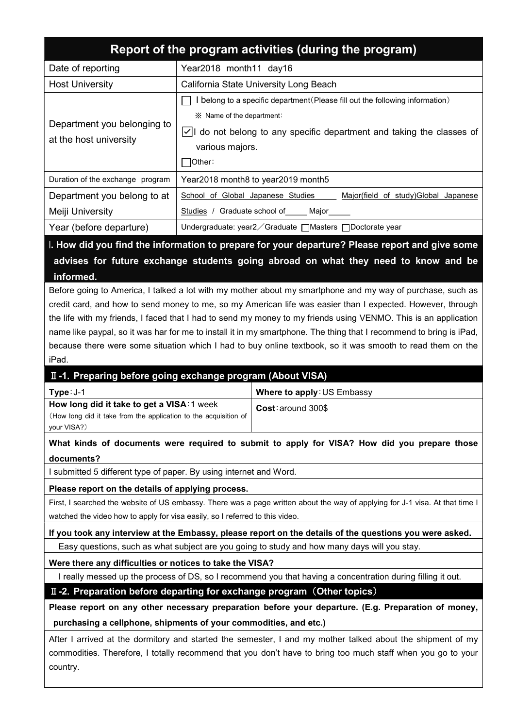|                                                                              | Report of the program activities (during the program)                                                                                |  |  |  |  |  |  |  |
|------------------------------------------------------------------------------|--------------------------------------------------------------------------------------------------------------------------------------|--|--|--|--|--|--|--|
| Date of reporting                                                            | Year2018 month11 day16                                                                                                               |  |  |  |  |  |  |  |
| <b>Host University</b>                                                       | California State University Long Beach                                                                                               |  |  |  |  |  |  |  |
|                                                                              | I belong to a specific department (Please fill out the following information)                                                        |  |  |  |  |  |  |  |
| Department you belonging to                                                  | ※ Name of the department:                                                                                                            |  |  |  |  |  |  |  |
| at the host university                                                       | $\sqrt{}$ do not belong to any specific department and taking the classes of<br>various majors.<br>Other:                            |  |  |  |  |  |  |  |
|                                                                              |                                                                                                                                      |  |  |  |  |  |  |  |
| Duration of the exchange program                                             | Year2018 month8 to year2019 month5                                                                                                   |  |  |  |  |  |  |  |
| Department you belong to at                                                  | School of Global Japanese Studies<br>Major(field of study)Global Japanese                                                            |  |  |  |  |  |  |  |
| Meiji University                                                             | Studies / Graduate school of<br>Major_                                                                                               |  |  |  |  |  |  |  |
| Year (before departure)                                                      | Undergraduate: year2 ∕ Graduate   Masters   Doctorate year                                                                           |  |  |  |  |  |  |  |
|                                                                              | I. How did you find the information to prepare for your departure? Please report and give some                                       |  |  |  |  |  |  |  |
|                                                                              | advises for future exchange students going abroad on what they need to know and be                                                   |  |  |  |  |  |  |  |
| informed.                                                                    |                                                                                                                                      |  |  |  |  |  |  |  |
|                                                                              | Before going to America, I talked a lot with my mother about my smartphone and my way of purchase, such as                           |  |  |  |  |  |  |  |
|                                                                              | credit card, and how to send money to me, so my American life was easier than I expected. However, through                           |  |  |  |  |  |  |  |
|                                                                              | the life with my friends, I faced that I had to send my money to my friends using VENMO. This is an application                      |  |  |  |  |  |  |  |
|                                                                              | name like paypal, so it was har for me to install it in my smartphone. The thing that I recommend to bring is iPad,                  |  |  |  |  |  |  |  |
|                                                                              | because there were some situation which I had to buy online textbook, so it was smooth to read them on the                           |  |  |  |  |  |  |  |
| iPad.                                                                        |                                                                                                                                      |  |  |  |  |  |  |  |
|                                                                              | II -1. Preparing before going exchange program (About VISA)                                                                          |  |  |  |  |  |  |  |
| Type: J-1                                                                    | Where to apply: US Embassy                                                                                                           |  |  |  |  |  |  |  |
| your VISA?)                                                                  | How long did it take to get a VISA: 1 week<br>Cost: around 300\$<br>(How long did it take from the application to the acquisition of |  |  |  |  |  |  |  |
|                                                                              | What kinds of documents were required to submit to apply for VISA? How did you prepare those                                         |  |  |  |  |  |  |  |
| documents?                                                                   |                                                                                                                                      |  |  |  |  |  |  |  |
| I submitted 5 different type of paper. By using internet and Word.           |                                                                                                                                      |  |  |  |  |  |  |  |
| Please report on the details of applying process.                            |                                                                                                                                      |  |  |  |  |  |  |  |
|                                                                              | First, I searched the website of US embassy. There was a page written about the way of applying for J-1 visa. At that time I         |  |  |  |  |  |  |  |
| watched the video how to apply for visa easily, so I referred to this video. |                                                                                                                                      |  |  |  |  |  |  |  |
|                                                                              | If you took any interview at the Embassy, please report on the details of the questions you were asked.                              |  |  |  |  |  |  |  |
|                                                                              | Easy questions, such as what subject are you going to study and how many days will you stay.                                         |  |  |  |  |  |  |  |
| Were there any difficulties or notices to take the VISA?                     |                                                                                                                                      |  |  |  |  |  |  |  |
|                                                                              | I really messed up the process of DS, so I recommend you that having a concentration during filling it out.                          |  |  |  |  |  |  |  |
|                                                                              | II -2. Preparation before departing for exchange program (Other topics)                                                              |  |  |  |  |  |  |  |
|                                                                              | Please report on any other necessary preparation before your departure. (E.g. Preparation of money,                                  |  |  |  |  |  |  |  |
| purchasing a cellphone, shipments of your commodities, and etc.)             |                                                                                                                                      |  |  |  |  |  |  |  |
|                                                                              |                                                                                                                                      |  |  |  |  |  |  |  |
|                                                                              | After I arrived at the dormitory and started the semester, I and my mother talked about the shipment of my                           |  |  |  |  |  |  |  |
|                                                                              | commodities. Therefore, I totally recommend that you don't have to bring too much staff when you go to your                          |  |  |  |  |  |  |  |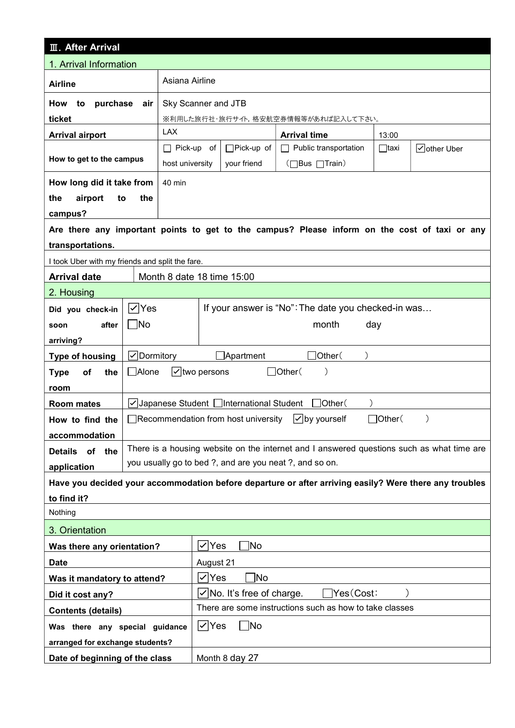| <b>III. After Arrival</b>                           |                     |                                                         |                                                 |                                            |                                                                                                        |               |               |  |  |
|-----------------------------------------------------|---------------------|---------------------------------------------------------|-------------------------------------------------|--------------------------------------------|--------------------------------------------------------------------------------------------------------|---------------|---------------|--|--|
| 1. Arrival Information                              |                     |                                                         |                                                 |                                            |                                                                                                        |               |               |  |  |
| Asiana Airline<br><b>Airline</b>                    |                     |                                                         |                                                 |                                            |                                                                                                        |               |               |  |  |
| purchase<br>Sky Scanner and JTB<br>How<br>to<br>air |                     |                                                         |                                                 |                                            |                                                                                                        |               |               |  |  |
| ticket                                              |                     |                                                         |                                                 |                                            | ※利用した旅行社・旅行サイト,格安航空券情報等があれば記入して下さい。                                                                    |               |               |  |  |
| <b>Arrival airport</b>                              |                     | <b>LAX</b>                                              |                                                 |                                            | <b>Arrival time</b>                                                                                    | 13:00         |               |  |  |
| How to get to the campus                            |                     | $\Box$ Pick-up of<br>host university                    |                                                 | □Pick-up of                                | $\Box$ Public transportation                                                                           | $\Box$ taxi   | √other Uber   |  |  |
|                                                     |                     |                                                         | (□Bus □Train)<br>your friend                    |                                            |                                                                                                        |               |               |  |  |
| How long did it take from                           |                     | 40 min                                                  |                                                 |                                            |                                                                                                        |               |               |  |  |
| airport<br>the<br>to                                | the                 |                                                         |                                                 |                                            |                                                                                                        |               |               |  |  |
| campus?                                             |                     |                                                         |                                                 |                                            | Are there any important points to get to the campus? Please inform on the cost of taxi or any          |               |               |  |  |
| transportations.                                    |                     |                                                         |                                                 |                                            |                                                                                                        |               |               |  |  |
| I took Uber with my friends and split the fare.     |                     |                                                         |                                                 |                                            |                                                                                                        |               |               |  |  |
| <b>Arrival date</b>                                 |                     | Month 8 date 18 time 15:00                              |                                                 |                                            |                                                                                                        |               |               |  |  |
| 2. Housing                                          |                     |                                                         |                                                 |                                            |                                                                                                        |               |               |  |  |
| Did you check-in                                    | $ \mathcal{V} $ Yes |                                                         |                                                 |                                            | If your answer is "No": The date you checked-in was                                                    |               |               |  |  |
| after<br>soon                                       | $\Box$ No           |                                                         | month<br>day                                    |                                            |                                                                                                        |               |               |  |  |
| arriving?                                           |                     |                                                         |                                                 |                                            |                                                                                                        |               |               |  |  |
| <b>Type of housing</b>                              | √Dormitory          |                                                         |                                                 | $\Box$ Apartment                           | Other(                                                                                                 |               |               |  |  |
| of<br>the<br><b>Type</b>                            | $\Box$ Alone        | $\vert \mathbf{v} \vert$ two persons                    |                                                 |                                            | $\Box$ Other(<br>$\mathcal{E}$                                                                         |               |               |  |  |
| room                                                |                     |                                                         |                                                 |                                            |                                                                                                        |               |               |  |  |
| <b>Room mates</b>                                   |                     |                                                         |                                                 | VJapanese Student   International Student  | $\Box$ Other(                                                                                          |               |               |  |  |
| How to find the                                     |                     |                                                         |                                                 | $\Box$ Recommendation from host university | l✓∣by yourself                                                                                         | $\Box$ Other( | $\mathcal{E}$ |  |  |
| accommodation                                       |                     |                                                         |                                                 |                                            |                                                                                                        |               |               |  |  |
| of<br><b>Details</b><br>the                         |                     |                                                         |                                                 |                                            | There is a housing website on the internet and I answered questions such as what time are              |               |               |  |  |
| application                                         |                     |                                                         |                                                 |                                            | you usually go to bed ?, and are you neat ?, and so on.                                                |               |               |  |  |
|                                                     |                     |                                                         |                                                 |                                            | Have you decided your accommodation before departure or after arriving easily? Were there any troubles |               |               |  |  |
| to find it?                                         |                     |                                                         |                                                 |                                            |                                                                                                        |               |               |  |  |
| Nothing                                             |                     |                                                         |                                                 |                                            |                                                                                                        |               |               |  |  |
| 3. Orientation                                      |                     |                                                         |                                                 |                                            |                                                                                                        |               |               |  |  |
| Was there any orientation?                          |                     |                                                         | <b>No</b><br>$\vee$ Yes                         |                                            |                                                                                                        |               |               |  |  |
| <b>Date</b>                                         |                     | August 21                                               |                                                 |                                            |                                                                                                        |               |               |  |  |
| Was it mandatory to attend?                         |                     | Mo]<br>l✓∣Yes                                           |                                                 |                                            |                                                                                                        |               |               |  |  |
| Did it cost any?                                    |                     |                                                         | $\sqrt{}$ No. It's free of charge.<br>Yes(Cost: |                                            |                                                                                                        |               |               |  |  |
| <b>Contents (details)</b>                           |                     | There are some instructions such as how to take classes |                                                 |                                            |                                                                                                        |               |               |  |  |
| Was there any special guidance                      |                     |                                                         | $\sqrt{} $ Yes<br>$\Box$ No                     |                                            |                                                                                                        |               |               |  |  |
| arranged for exchange students?                     |                     |                                                         |                                                 |                                            |                                                                                                        |               |               |  |  |
| Date of beginning of the class                      |                     |                                                         | Month 8 day 27                                  |                                            |                                                                                                        |               |               |  |  |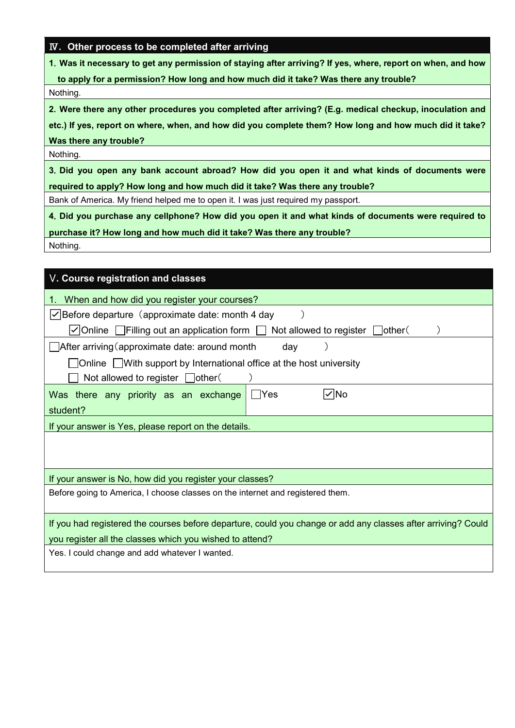## Ⅳ. Other process to be completed after arriving

1.Was it necessary to get any permission of staying after arriving? If yes, where, report on when, and how

to apply for a permission? How long and how much did it take? Was there any trouble?

Nothing.

2.Were there any other procedures you completed after arriving? (E.g. medical checkup, inoculation and

etc.) If yes, report on where, when, and how did you complete them? How long and how much did it take? Was there any trouble?

Nothing.

3.Did you open any bank account abroad? How did you open it and what kinds of documents were required to apply? How long and how much did it take? Was there any trouble?

Bank of America. My friend helped me to open it. I was just required my passport.

4.Did you purchase any cellphone? How did you open it and what kinds of documents were required to

purchase it? How long and how much did it take? Was there any trouble?

Nothing.

| V. Course registration and classes                                                                            |  |  |  |  |  |  |  |
|---------------------------------------------------------------------------------------------------------------|--|--|--|--|--|--|--|
| When and how did you register your courses?                                                                   |  |  |  |  |  |  |  |
| $\vert \checkmark\vert$ Before departure (approximate date: month 4 day                                       |  |  |  |  |  |  |  |
| $\vee$ Online Filling out an application form [<br>Not allowed to register $\Box$ other (                     |  |  |  |  |  |  |  |
| $\Box$ After arriving (approximate date: around month<br>day                                                  |  |  |  |  |  |  |  |
| $\Box$ Online $\Box$ With support by International office at the host university                              |  |  |  |  |  |  |  |
| Not allowed to register $\Box$ other(                                                                         |  |  |  |  |  |  |  |
| $\vee$ No<br>Was there any priority as an exchange<br>- IYes                                                  |  |  |  |  |  |  |  |
| student?                                                                                                      |  |  |  |  |  |  |  |
| If your answer is Yes, please report on the details.                                                          |  |  |  |  |  |  |  |
|                                                                                                               |  |  |  |  |  |  |  |
|                                                                                                               |  |  |  |  |  |  |  |
| If your answer is No, how did you register your classes?                                                      |  |  |  |  |  |  |  |
| Before going to America, I choose classes on the internet and registered them.                                |  |  |  |  |  |  |  |
|                                                                                                               |  |  |  |  |  |  |  |
| If you had registered the courses before departure, could you change or add any classes after arriving? Could |  |  |  |  |  |  |  |
| you register all the classes which you wished to attend?                                                      |  |  |  |  |  |  |  |
| Yes. I could change and add whatever I wanted.                                                                |  |  |  |  |  |  |  |
|                                                                                                               |  |  |  |  |  |  |  |